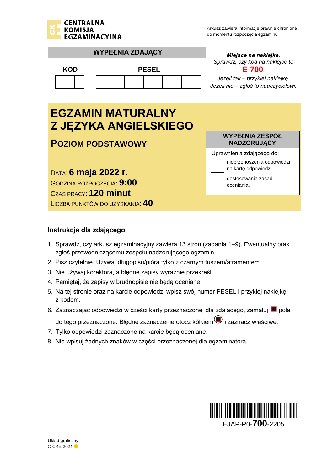



LICZBA PUNKTÓW DO UZYSKANIA: **40**

## **Instrukcja dla zdającego**

- 1. Sprawdź, czy arkusz egzaminacyjny zawiera 13 stron (zadania 1–9). Ewentualny brak zgłoś przewodniczącemu zespołu nadzorującego egzamin.
- 2. Pisz czytelnie. Używaj długopisu/pióra tylko z czarnym tuszem/atramentem.
- 3. Nie używaj korektora, a błędne zapisy wyraźnie przekreśl.
- 4. Pamiętaj, że zapisy w brudnopisie nie będą oceniane.
- 5. Na tej stronie oraz na karcie odpowiedzi wpisz swój numer PESEL i przyklej naklejkę z kodem.
- 6. Zaznaczając odpowiedzi w części karty przeznaczonej dla zdającego, zamaluj pola

do tego przeznaczone. Błędne zaznaczenie otocz kółkiem $\textcircled{\textsf{I}}$  i zaznacz właściwe.

- 7. Tylko odpowiedzi zaznaczone na karcie będą oceniane.
- 8. Nie wpisuj żadnych znaków w części przeznaczonej dla egzaminatora.

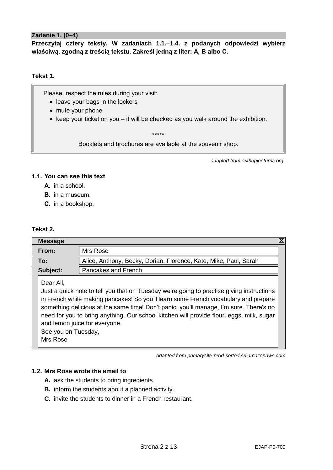## **Zadanie 1. (0–4)**

**Przeczytaj cztery teksty. W zadaniach 1.1.**–**1.4. z podanych odpowiedzi wybierz właściwą, zgodną z treścią tekstu. Zakreśl jedną z liter: A, B albo C.**

## **Tekst 1.**

Please, respect the rules during your visit:

- leave your bags in the lockers
- mute your phone
- keep your ticket on you it will be checked as you walk around the exhibition.

\*\*\*\*\*

Booklets and brochures are available at the souvenir shop.

*adapted from asthepipeturns.org*

## **1.1. You can see this text**

- **A.** in a school.
- **B.** in a museum.
- **C.** in a bookshop.

## **Tekst 2.**

| <b>Message</b>                                                                                                                                                                                                                                                                                                                                                                                                                                          |                                                                  | ⊠ |  |
|---------------------------------------------------------------------------------------------------------------------------------------------------------------------------------------------------------------------------------------------------------------------------------------------------------------------------------------------------------------------------------------------------------------------------------------------------------|------------------------------------------------------------------|---|--|
| Mrs Rose<br>From:                                                                                                                                                                                                                                                                                                                                                                                                                                       |                                                                  |   |  |
| To:                                                                                                                                                                                                                                                                                                                                                                                                                                                     | Alice, Anthony, Becky, Dorian, Florence, Kate, Mike, Paul, Sarah |   |  |
| Subject:<br>Pancakes and French                                                                                                                                                                                                                                                                                                                                                                                                                         |                                                                  |   |  |
| Dear All,<br>Just a quick note to tell you that on Tuesday we're going to practise giving instructions<br>in French while making pancakes! So you'll learn some French vocabulary and prepare<br>something delicious at the same time! Don't panic, you'll manage, I'm sure. There's no<br>need for you to bring anything. Our school kitchen will provide flour, eggs, milk, sugar<br>and lemon juice for everyone.<br>See you on Tuesday,<br>Mrs Rose |                                                                  |   |  |

*adapted from primarysite-prod-sorted.s3.amazonaws.com*

## **1.2. Mrs Rose wrote the email to**

- **A.** ask the students to bring ingredients.
- **B.** inform the students about a planned activity.
- **C.** invite the students to dinner in a French restaurant.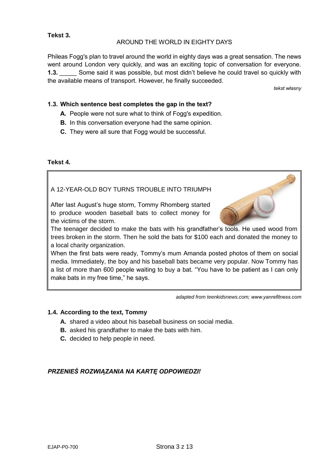## **Tekst 3.**

## AROUND THE WORLD IN EIGHTY DAYS

Phileas Fogg's plan to travel around the world in eighty days was a great sensation. The news went around London very quickly, and was an exciting topic of conversation for everyone. **1.3.** Some said it was possible, but most didn't believe he could travel so quickly with the available means of transport. However, he finally succeeded.

*tekst własny*

## **1.3. Which sentence best completes the gap in the text?**

- **A.** People were not sure what to think of Fogg's expedition.
- **B.** In this conversation everyone had the same opinion.
- **C.** They were all sure that Fogg would be successful.

## **Tekst 4.**

A 12-YEAR-OLD BOY TURNS TROUBLE INTO TRIUMPH

After last August's huge storm, Tommy Rhomberg started to produce wooden baseball bats to collect money for the victims of the storm.

![](_page_2_Picture_11.jpeg)

The teenager decided to make the bats with his grandfather's tools. He used wood from trees broken in the storm. Then he sold the bats for \$100 each and donated the money to a local charity organization.

When the first bats were ready, Tommy's mum Amanda posted photos of them on social media. Immediately, the boy and his baseball bats became very popular. Now Tommy has a list of more than 600 people waiting to buy a bat. "You have to be patient as I can only make bats in my free time," he says.

*adapted from teenkidsnews.com; www.yanrefitness.com*

## **1.4. According to the text, Tommy**

- **A.** shared a video about his baseball business on social media.
- **B.** asked his grandfather to make the bats with him.
- **C.** decided to help people in need.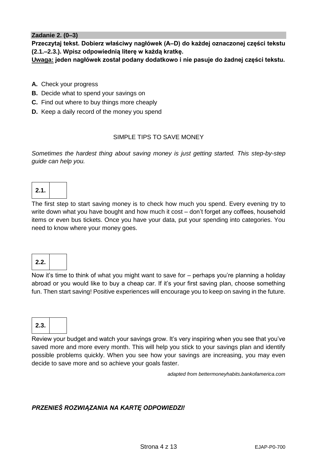## **Zadanie 2. (0–3)**

**Przeczytaj tekst. Dobierz właściwy nagłówek (A–D) do każdej oznaczonej części tekstu (2.1.–2.3.). Wpisz odpowiednią literę w każdą kratkę.**

**Uwaga: jeden nagłówek został podany dodatkowo i nie pasuje do żadnej części tekstu.**

- **A.** Check your progress
- **B.** Decide what to spend your savings on
- **C.** Find out where to buy things more cheaply
- **D.** Keep a daily record of the money you spend

## SIMPLE TIPS TO SAVE MONEY

*Sometimes the hardest thing about saving money is just getting started. This step-by-step guide can help you.*

# **2.1.**

The first step to start saving money is to check how much you spend. Every evening try to write down what you have bought and how much it cost – don't forget any coffees, household items or even bus tickets. Once you have your data, put your spending into categories. You need to know where your money goes.

## **2.2.**

Now it's time to think of what you might want to save for – perhaps you're planning a holiday abroad or you would like to buy a cheap car. If it's your first saving plan, choose something fun. Then start saving! Positive experiences will encourage you to keep on saving in the future.

![](_page_3_Picture_13.jpeg)

Review your budget and watch your savings grow. It's very inspiring when you see that you've saved more and more every month. This will help you stick to your savings plan and identify possible problems quickly. When you see how your savings are increasing, you may even decide to save more and so achieve your goals faster.

*adapted from bettermoneyhabits.bankofamerica.com*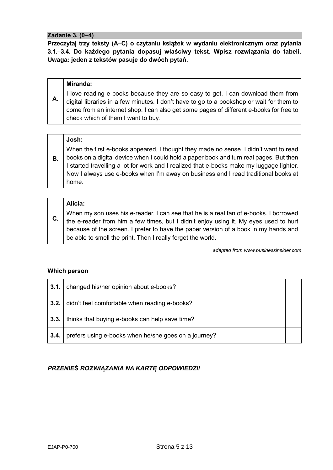#### **Zadanie 3. (0–4)**

**Przeczytaj trzy teksty (A–C) o czytaniu książek w wydaniu elektronicznym oraz pytania 3.1.–3.4. Do każdego pytania dopasuj właściwy tekst. Wpisz rozwiązania do tabeli. Uwaga: jeden z tekstów pasuje do dwóch pytań.**

## **A. Miranda:** I love reading e-books because they are so easy to get. I can download them from digital libraries in a few minutes. I don't have to go to a bookshop or wait for them to come from an internet shop. I can also get some pages of different e-books for free to check which of them I want to buy.

## **Josh:**

**B.** When the first e-books appeared, I thought they made no sense. I didn't want to read books on a digital device when I could hold a paper book and turn real pages. But then I started travelling a lot for work and I realized that e-books make my luggage lighter. Now I always use e-books when I'm away on business and I read traditional books at home.

## **Alicia:**

**C.** When my son uses his e-reader, I can see that he is a real fan of e-books. I borrowed the e-reader from him a few times, but I didn't enjoy using it. My eyes used to hurt because of the screen. I prefer to have the paper version of a book in my hands and be able to smell the print. Then I really forget the world.

*adapted from www.businessinsider.com*

## **Which person**

| 3.1. | changed his/her opinion about e-books?               |  |
|------|------------------------------------------------------|--|
| 3.2. | didn't feel comfortable when reading e-books?        |  |
| 3.3. | thinks that buying e-books can help save time?       |  |
| 3.4. | prefers using e-books when he/she goes on a journey? |  |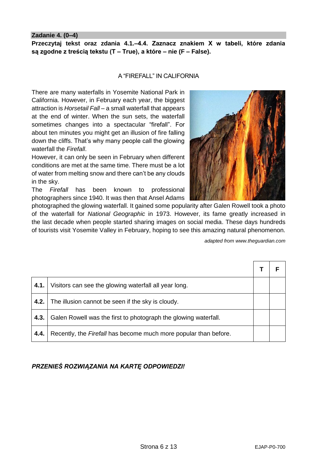#### **Zadanie 4. (0–4)**

**Przeczytaj tekst oraz zdania 4.1.–4.4. Zaznacz znakiem X w tabeli, które zdania są zgodne z treścią tekstu (T – True), a które – nie (F – False).**

#### A "FIREFALL" IN CALIFORNIA

There are many waterfalls in Yosemite National Park in California. However, in February each year, the biggest attraction is *Horsetail Fall* – a small waterfall that appears at the end of winter. When the sun sets, the waterfall sometimes changes into a spectacular "firefall". For about ten minutes you might get an illusion of fire falling down the cliffs. That's why many people call the glowing waterfall the *Firefall*.

However, it can only be seen in February when different conditions are met at the same time. There must be a lot of water from melting snow and there can't be any clouds in the sky.

The *Firefall* has been known to professional photographers since 1940. It was then that Ansel Adams

photographed the glowing waterfall. It gained some popularity after Galen Rowell took a photo of the waterfall for *National Geographic* in 1973. However, its fame greatly increased in the last decade when people started sharing images on social media. These days hundreds of tourists visit Yosemite Valley in February, hoping to see this amazing natural phenomenon.

*adapted from www.theguardian.com*

| 4.1. | Visitors can see the glowing waterfall all year long.                   |  |
|------|-------------------------------------------------------------------------|--|
| 4.2. | The illusion cannot be seen if the sky is cloudy.                       |  |
| 4.3. | Galen Rowell was the first to photograph the glowing waterfall.         |  |
| 4.4. | Recently, the <i>Firefall</i> has become much more popular than before. |  |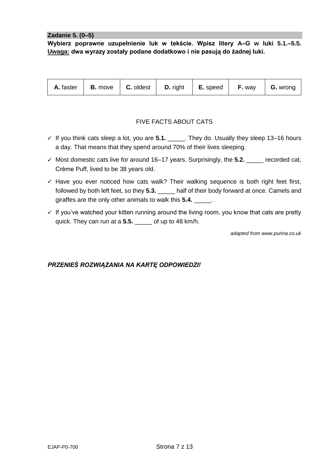#### **Zadanie 5. (0–5)**

**Wybierz poprawne uzupełnienie luk w tekście. Wpisz litery A–G w luki 5.1.–5.5. Uwaga: dwa wyrazy zostały podane dodatkowo i nie pasują do żadnej luki.**

| A. faster | <b>B.</b> move |  | <b>C.</b> oldest $\vert$ <b>D.</b> right | $\vert$ <b>E.</b> speed | <b>F.</b> way | $\mid$ <b>G.</b> wrong |
|-----------|----------------|--|------------------------------------------|-------------------------|---------------|------------------------|
|-----------|----------------|--|------------------------------------------|-------------------------|---------------|------------------------|

## FIVE FACTS ABOUT CATS

- $\checkmark$  If you think cats sleep a lot, you are **5.1.** \_\_\_\_\_. They do. Usually they sleep 13–16 hours a day. That means that they spend around 70% of their lives sleeping.
- Most domestic cats live for around 16–17 years. Surprisingly, the **5.2.** \_\_\_\_\_ recorded cat, Crème Puff, lived to be 38 years old.
- $\checkmark$  Have you ever noticed how cats walk? Their walking sequence is both right feet first, followed by both left feet, so they **5.3.** \_\_\_\_\_ half of their body forward at once. Camels and giraffes are the only other animals to walk this **5.4.** \_\_\_\_\_.
- $\checkmark$  If you've watched your kitten running around the living room, you know that cats are pretty quick. They can run at a **5.5.** \_\_\_\_\_ of up to 48 km/h.

*adapted from www.purina.co.uk*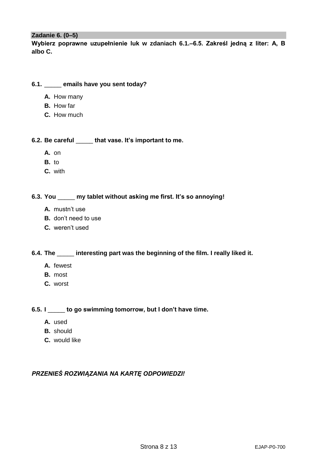#### **Zadanie 6. (0–5)**

**Wybierz poprawne uzupełnienie luk w zdaniach 6.1.–6.5. Zakreśl jedną z liter: A, B albo C.**

#### **6.1.** \_\_\_\_\_ **emails have you sent today?**

- **A.** How many
- **B.** How far
- **C.** How much

**6.2. Be careful** \_\_\_\_\_ **that vase. It's important to me.**

- **A.** on
- **B.** to
- **C.** with

## **6.3. You** \_\_\_\_\_ **my tablet without asking me first. It's so annoying!**

- **A.** mustn't use
- **B.** don't need to use
- **C.** weren't used

## **6.4. The** \_\_\_\_\_ **interesting part was the beginning of the film. I really liked it.**

- **A.** fewest
- **B.** most
- **C.** worst

## **6.5. I** \_\_\_\_\_ **to go swimming tomorrow, but I don't have time.**

- **A.** used
- **B.** should
- **C.** would like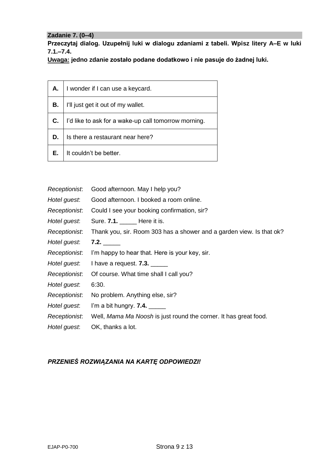## **Zadanie 7. (0–4)**

**Przeczytaj dialog. Uzupełnij luki w dialogu zdaniami z tabeli. Wpisz litery A–E w luki 7.1.–7.4.**

**Uwaga: jedno zdanie zostało podane dodatkowo i nie pasuje do żadnej luki.**

| А. | I wonder if I can use a keycard.                     |
|----|------------------------------------------------------|
| В. | I'll just get it out of my wallet.                   |
| C. | I'd like to ask for a wake-up call tomorrow morning. |
| D. | Is there a restaurant near here?                     |
| Е. | It couldn't be better.                               |

| Receptionist. | Good afternoon. May I help you?                                      |  |  |  |
|---------------|----------------------------------------------------------------------|--|--|--|
| Hotel guest.  | Good afternoon. I booked a room online.                              |  |  |  |
| Receptionist. | Could I see your booking confirmation, sir?                          |  |  |  |
| Hotel guest.  | Sure. 7.1. ______ Here it is.                                        |  |  |  |
| Receptionist. | Thank you, sir. Room 303 has a shower and a garden view. Is that ok? |  |  |  |
| Hotel guest.  |                                                                      |  |  |  |
| Receptionist. | I'm happy to hear that. Here is your key, sir.                       |  |  |  |
| Hotel guest.  | I have a request. $7.3.$ ______                                      |  |  |  |
| Receptionist. | Of course. What time shall I call you?                               |  |  |  |
| Hotel guest.  | 6:30.                                                                |  |  |  |
| Receptionist. | No problem. Anything else, sir?                                      |  |  |  |
| Hotel guest.  |                                                                      |  |  |  |
| Receptionist. | Well, Mama Ma Noosh is just round the corner. It has great food.     |  |  |  |
| Hotel guest.  | OK, thanks a lot.                                                    |  |  |  |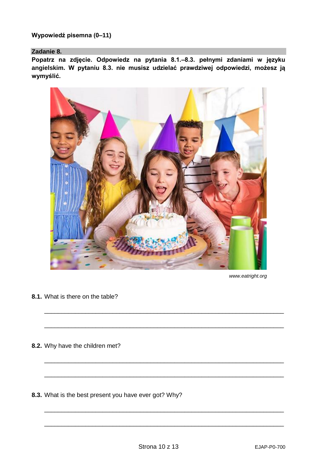**Wypowiedź pisemna (0–11)**

#### **Zadanie 8.**

**Popatrz na zdjęcie. Odpowiedz na pytania 8.1.–8.3. pełnymi zdaniami w języku angielskim. W pytaniu 8.3. nie musisz udzielać prawdziwej odpowiedzi, możesz ją wymyślić.**

![](_page_9_Picture_3.jpeg)

*www.eatright.org*

**8.1.** What is there on the table?

- **8.2.** Why have the children met?
- **8.3.** What is the best present you have ever got? Why?

\_\_\_\_\_\_\_\_\_\_\_\_\_\_\_\_\_\_\_\_\_\_\_\_\_\_\_\_\_\_\_\_\_\_\_\_\_\_\_\_\_\_\_\_\_\_\_\_\_\_\_\_\_\_\_\_\_\_\_\_\_\_\_\_\_\_\_\_\_\_

\_\_\_\_\_\_\_\_\_\_\_\_\_\_\_\_\_\_\_\_\_\_\_\_\_\_\_\_\_\_\_\_\_\_\_\_\_\_\_\_\_\_\_\_\_\_\_\_\_\_\_\_\_\_\_\_\_\_\_\_\_\_\_\_\_\_\_\_\_\_

\_\_\_\_\_\_\_\_\_\_\_\_\_\_\_\_\_\_\_\_\_\_\_\_\_\_\_\_\_\_\_\_\_\_\_\_\_\_\_\_\_\_\_\_\_\_\_\_\_\_\_\_\_\_\_\_\_\_\_\_\_\_\_\_\_\_\_\_\_\_

\_\_\_\_\_\_\_\_\_\_\_\_\_\_\_\_\_\_\_\_\_\_\_\_\_\_\_\_\_\_\_\_\_\_\_\_\_\_\_\_\_\_\_\_\_\_\_\_\_\_\_\_\_\_\_\_\_\_\_\_\_\_\_\_\_\_\_\_\_\_

\_\_\_\_\_\_\_\_\_\_\_\_\_\_\_\_\_\_\_\_\_\_\_\_\_\_\_\_\_\_\_\_\_\_\_\_\_\_\_\_\_\_\_\_\_\_\_\_\_\_\_\_\_\_\_\_\_\_\_\_\_\_\_\_\_\_\_\_\_\_

\_\_\_\_\_\_\_\_\_\_\_\_\_\_\_\_\_\_\_\_\_\_\_\_\_\_\_\_\_\_\_\_\_\_\_\_\_\_\_\_\_\_\_\_\_\_\_\_\_\_\_\_\_\_\_\_\_\_\_\_\_\_\_\_\_\_\_\_\_\_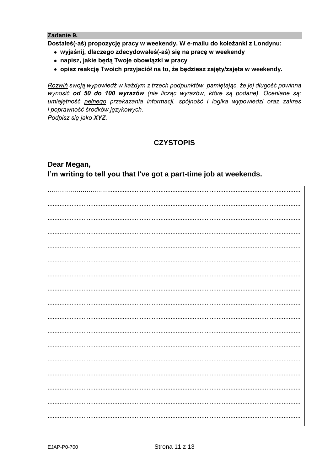## Zadanie 9.

Dostałeś(-aś) propozycję pracy w weekendy. W e-mailu do koleżanki z Londynu:

- · wyjaśnij, dlaczego zdecydowałeś(-aś) się na pracę w weekendy
- · napisz, jakie będą Twoje obowiązki w pracy
- · opisz reakcję Twoich przyjaciół na to, że będziesz zajęty/zajęta w weekendy.

Rozwiń swoją wypowiedź w każdym z trzech podpunktów, pamiętając, że jej długość powinna wynosić od 50 do 100 wyrazów (nie licząc wyrazów, które są podane). Oceniane są: umiejetność pełnego przekazania informacji, spójność i logika wypowiedzi oraz zakres i poprawność środków językowych.

Podpisz się jako XYZ.

## **CZYSTOPIS**

## Dear Megan, I'm writing to tell you that I've got a part-time job at weekends.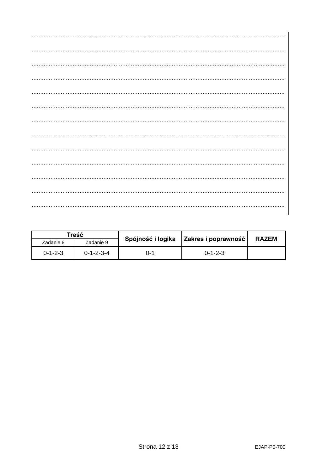| Treść           |                     | Spójność i logika |                     |              |  |
|-----------------|---------------------|-------------------|---------------------|--------------|--|
| Zadanie 8       | Zadanie 9           |                   | Zakres i poprawność | <b>RAZEM</b> |  |
| $0 - 1 - 2 - 3$ | $0 - 1 - 2 - 3 - 4$ | ი-1               | $0 - 1 - 2 - 3$     |              |  |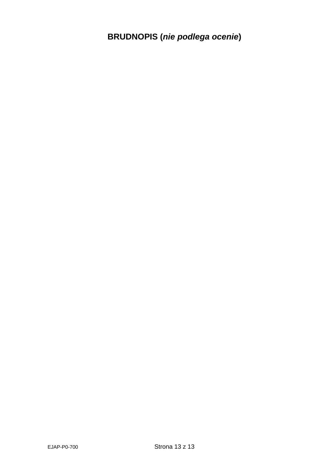**BRUDNOPIS (***nie podlega ocenie***)**